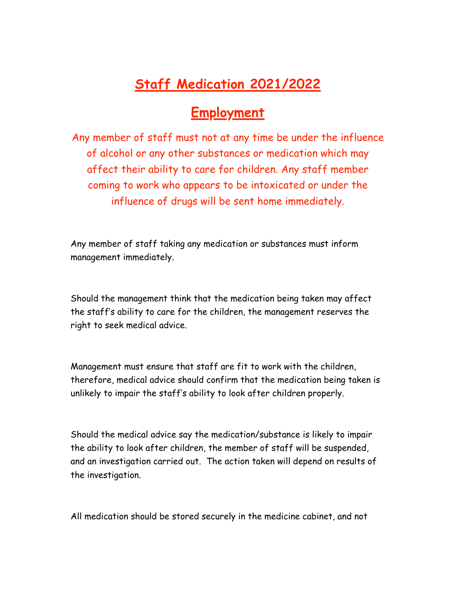## **Staff Medication 2021/2022**

## **Employment**

Any member of staff must not at any time be under the influence of alcohol or any other substances or medication which may affect their ability to care for children. Any staff member coming to work who appears to be intoxicated or under the influence of drugs will be sent home immediately.

Any member of staff taking any medication or substances must inform management immediately.

Should the management think that the medication being taken may affect the staff's ability to care for the children, the management reserves the right to seek medical advice.

Management must ensure that staff are fit to work with the children, therefore, medical advice should confirm that the medication being taken is unlikely to impair the staff's ability to look after children properly.

Should the medical advice say the medication/substance is likely to impair the ability to look after children, the member of staff will be suspended, and an investigation carried out. The action taken will depend on results of the investigation.

All medication should be stored securely in the medicine cabinet, and not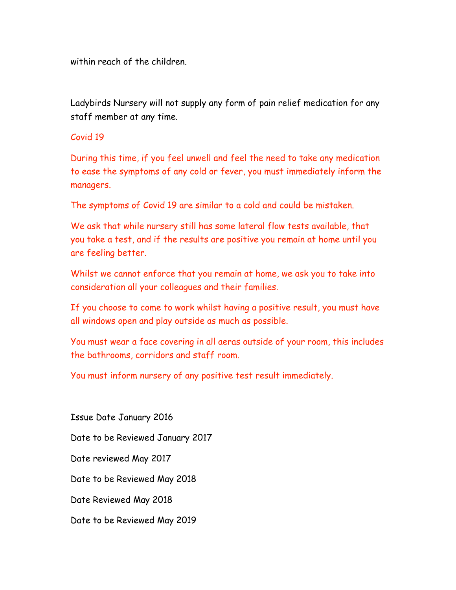within reach of the children.

Ladybirds Nursery will not supply any form of pain relief medication for any staff member at any time.

## Covid 19

During this time, if you feel unwell and feel the need to take any medication to ease the symptoms of any cold or fever, you must immediately inform the managers.

The symptoms of Covid 19 are similar to a cold and could be mistaken.

We ask that while nursery still has some lateral flow tests available, that you take a test, and if the results are positive you remain at home until you are feeling better.

Whilst we cannot enforce that you remain at home, we ask you to take into consideration all your colleagues and their families.

If you choose to come to work whilst having a positive result, you must have all windows open and play outside as much as possible.

You must wear a face covering in all aeras outside of your room, this includes the bathrooms, corridors and staff room.

You must inform nursery of any positive test result immediately.

Issue Date January 2016 Date to be Reviewed January 2017 Date reviewed May 2017 Date to be Reviewed May 2018 Date Reviewed May 2018 Date to be Reviewed May 2019